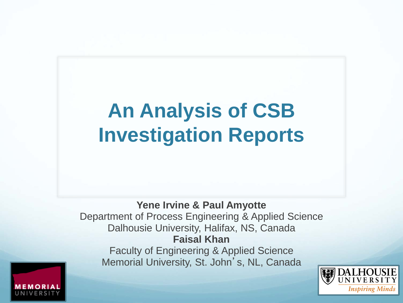## **An Analysis of CSB Investigation Reports**

#### **Yene Irvine & Paul Amyotte** Department of Process Engineering & Applied Science Dalhousie University, Halifax, NS, Canada **Faisal Khan** Faculty of Engineering & Applied Science Memorial University, St. John's, NL, Canada



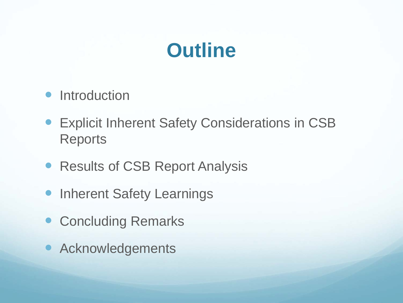

- **Introduction**
- Explicit Inherent Safety Considerations in CSB **Reports**
- Results of CSB Report Analysis
- Inherent Safety Learnings
- **Concluding Remarks**
- Acknowledgements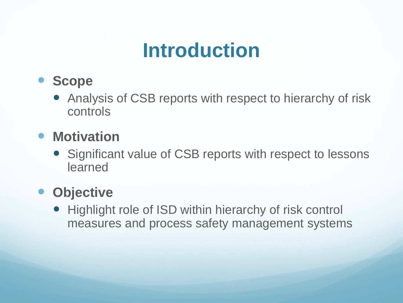## **Introduction**

- **Scope**
	- Analysis of CSB reports with respect to hierarchy of risk controls

#### **• Motivation**

• Significant value of CSB reports with respect to lessons learned

#### **Objective**

• Highlight role of ISD within hierarchy of risk control measures and process safety management systems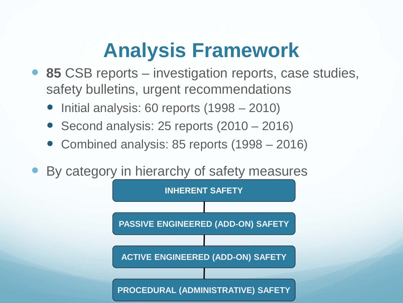#### **Analysis Framework**

- **85** CSB reports investigation reports, case studies, safety bulletins, urgent recommendations
	- Initial analysis: 60 reports (1998 2010)
	- Second analysis: 25 reports (2010 2016)
	- Combined analysis: 85 reports (1998 2016)
- By category in hierarchy of safety measures

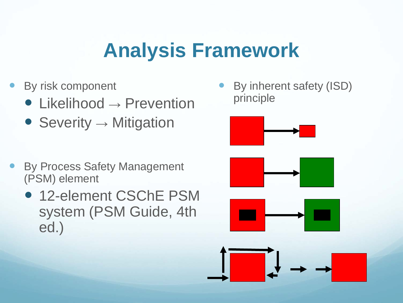#### **Analysis Framework**

- By risk component
	- Likelihood → Prevention
	- Severity → Mitigation
- By Process Safety Management (PSM) element
	- 12-element CSChE PSM system (PSM Guide, 4th ed.)

 By inherent safety (ISD) principle







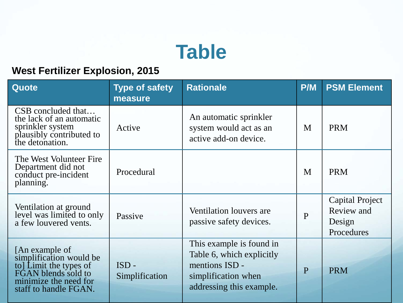#### **Table**

#### **West Fertilizer Explosion, 2015**

| Quote                                                                                                                                        | <b>Type of safety</b><br>measure | <b>Rationale</b>                                                                                                           | P/M | <b>PSM Element</b>                                           |
|----------------------------------------------------------------------------------------------------------------------------------------------|----------------------------------|----------------------------------------------------------------------------------------------------------------------------|-----|--------------------------------------------------------------|
| CSB concluded that<br>the lack of an automatic<br>sprinkler system<br>plausibly contributed to<br>the detonation.                            | Active                           | An automatic sprinkler<br>system would act as an<br>active add-on device.                                                  | M   | <b>PRM</b>                                                   |
| The West Volunteer Fire<br>Department did not<br>conduct pre-incident<br>planning.                                                           | Procedural                       |                                                                                                                            | M   | <b>PRM</b>                                                   |
| Ventilation at ground<br>level was limited to only<br>a few louvered vents.                                                                  | Passive                          | Ventilation louvers are<br>passive safety devices.                                                                         | P   | <b>Capital Project</b><br>Review and<br>Design<br>Procedures |
| [An example of<br>simplification would be<br>to] Limit the types of<br>FGAN blends sold to<br>minimize the need for<br>staff to handle FGAN. | $ISD -$<br>Simplification        | This example is found in<br>Table 6, which explicitly<br>mentions ISD -<br>simplification when<br>addressing this example. | P   | <b>PRM</b>                                                   |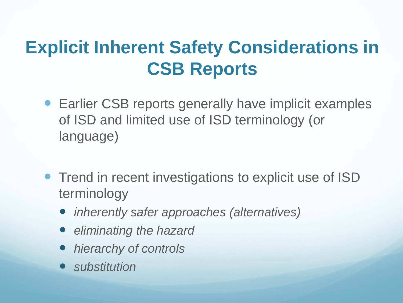#### **Explicit Inherent Safety Considerations in CSB Reports**

- Earlier CSB reports generally have implicit examples of ISD and limited use of ISD terminology (or language)
- Trend in recent investigations to explicit use of ISD terminology
	- *inherently safer approaches (alternatives)*
	- *eliminating the hazard*
	- *hierarchy of controls*
	- *substitution*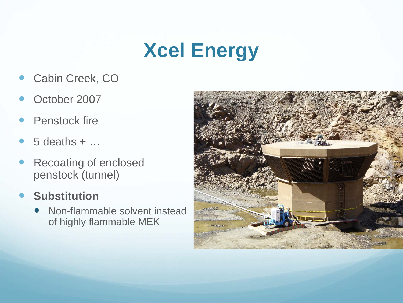# **Xcel Energy**

- Cabin Creek, CO
- October 2007
- Penstock fire
- 5 deaths + …
- Recoating of enclosed penstock (tunnel)
- **Substitution**
	- Non-flammable solvent instead of highly flammable MEK

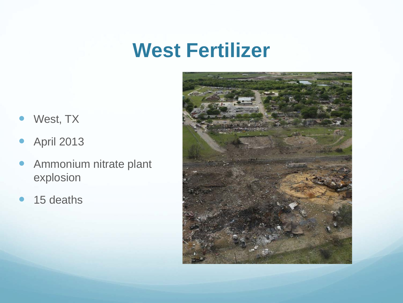#### **West Fertilizer**

- West, TX
- April 2013
- Ammonium nitrate plant explosion
- 15 deaths

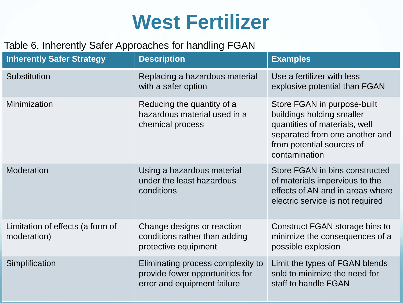#### **West Fertilizer**

#### Table 6. Inherently Safer Approaches for handling FGAN

| <b>Inherently Safer Strategy</b>                | <b>Description</b>                                                                                  | <b>Examples</b>                                                                                                                                                           |
|-------------------------------------------------|-----------------------------------------------------------------------------------------------------|---------------------------------------------------------------------------------------------------------------------------------------------------------------------------|
| Substitution                                    | Replacing a hazardous material<br>with a safer option                                               | Use a fertilizer with less<br>explosive potential than FGAN                                                                                                               |
| Minimization                                    | Reducing the quantity of a<br>hazardous material used in a<br>chemical process                      | Store FGAN in purpose-built<br>buildings holding smaller<br>quantities of materials, well<br>separated from one another and<br>from potential sources of<br>contamination |
| <b>Moderation</b>                               | Using a hazardous material<br>under the least hazardous<br>conditions                               | Store FGAN in bins constructed<br>of materials impervious to the<br>effects of AN and in areas where<br>electric service is not required                                  |
| Limitation of effects (a form of<br>moderation) | Change designs or reaction<br>conditions rather than adding<br>protective equipment                 | Construct FGAN storage bins to<br>minimize the consequences of a<br>possible explosion                                                                                    |
| Simplification                                  | Eliminating process complexity to<br>provide fewer opportunities for<br>error and equipment failure | Limit the types of FGAN blends<br>sold to minimize the need for<br>staff to handle FGAN                                                                                   |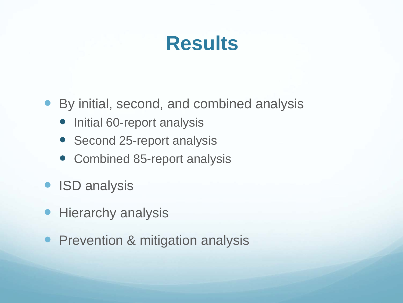#### **Results**

● By initial, second, and combined analysis

- Initial 60-report analysis
- Second 25-report analysis
- Combined 85-report analysis
- ISD analysis
- Hierarchy analysis
- Prevention & mitigation analysis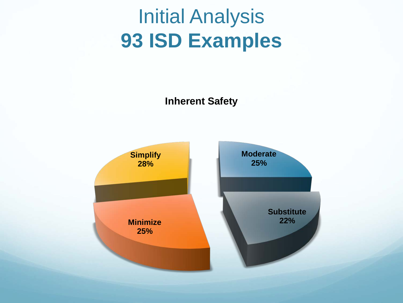#### Initial Analysis **93 ISD Examples**

**Inherent Safety**

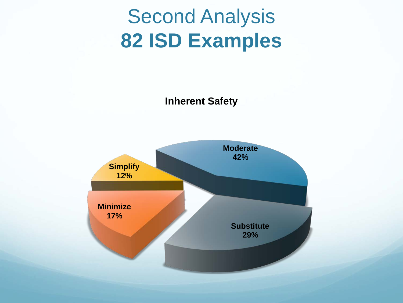#### Second Analysis **82 ISD Examples**

**Inherent Safety**

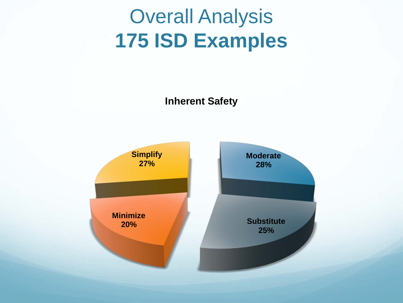#### Overall Analysis **175 ISD Examples**

**Inherent Safety**

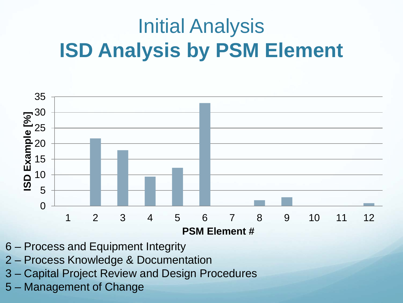# Initial Analysis **ISD Analysis by PSM Element**



- 6 Process and Equipment Integrity
- 2 Process Knowledge & Documentation
- 3 Capital Project Review and Design Procedures
- 5 Management of Change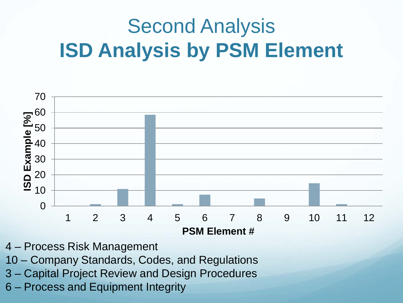# Second Analysis **ISD Analysis by PSM Element**



- 4 Process Risk Management
- 10 Company Standards, Codes, and Regulations
- 3 Capital Project Review and Design Procedures
- 6 Process and Equipment Integrity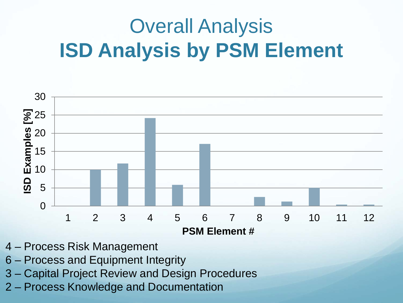# Overall Analysis **ISD Analysis by PSM Element**



- 4 Process Risk Management
- 6 Process and Equipment Integrity
- 3 Capital Project Review and Design Procedures
- 2 Process Knowledge and Documentation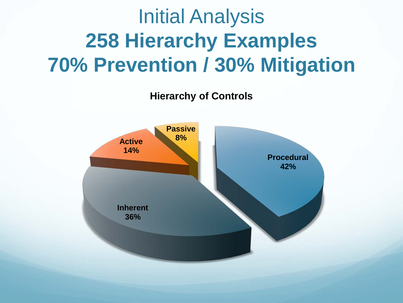## Initial Analysis **258 Hierarchy Examples 70% Prevention / 30% Mitigation**

**Hierarchy of Controls**

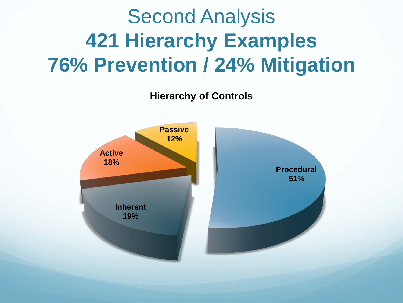## Second Analysis **421 Hierarchy Examples 76% Prevention / 24% Mitigation**

**Hierarchy of Controls**

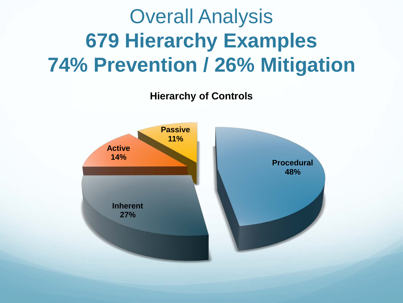## Overall Analysis **679 Hierarchy Examples 74% Prevention / 26% Mitigation**

**Hierarchy of Controls**

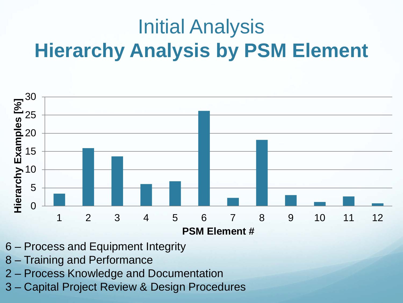### Initial Analysis **Hierarchy Analysis by PSM Element**



- 6 Process and Equipment Integrity
- 8 Training and Performance
- 2 Process Knowledge and Documentation
- 3 Capital Project Review & Design Procedures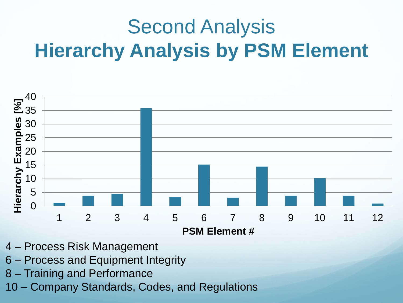## Second Analysis **Hierarchy Analysis by PSM Element**



- 4 Process Risk Management
- 6 Process and Equipment Integrity
- 8 Training and Performance
- 10 Company Standards, Codes, and Regulations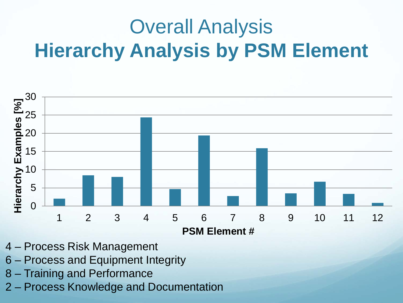## Overall Analysis **Hierarchy Analysis by PSM Element**



- 4 Process Risk Management
- 6 Process and Equipment Integrity
- 8 Training and Performance
- 2 Process Knowledge and Documentation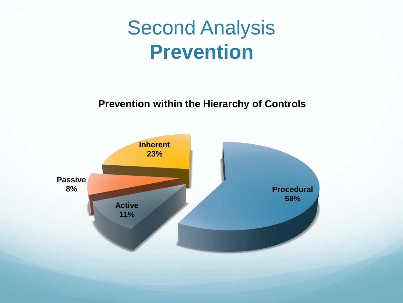#### Second Analysis **Prevention**

**Prevention within the Hierarchy of Controls**

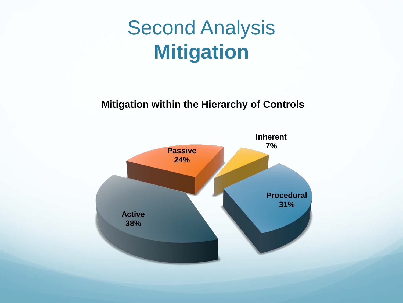#### Second Analysis **Mitigation**

**Mitigation within the Hierarchy of Controls**

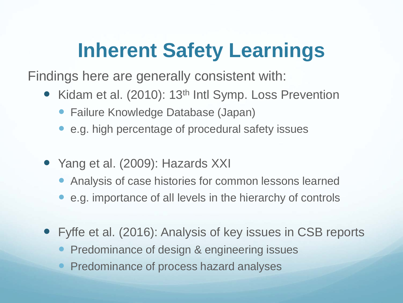#### **Inherent Safety Learnings**

Findings here are generally consistent with:

- Kidam et al. (2010): 13<sup>th</sup> Intl Symp. Loss Prevention
	- Failure Knowledge Database (Japan)
	- e.g. high percentage of procedural safety issues
- Yang et al. (2009): Hazards XXI
	- Analysis of case histories for common lessons learned
	- e.g. importance of all levels in the hierarchy of controls
- Fyffe et al. (2016): Analysis of key issues in CSB reports
	- Predominance of design & engineering issues
	- Predominance of process hazard analyses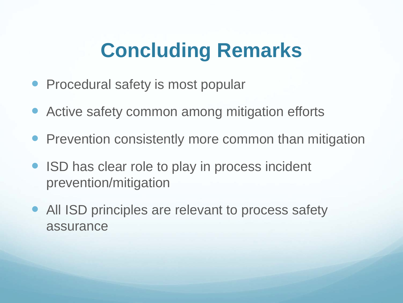## **Concluding Remarks**

- Procedural safety is most popular
- Active safety common among mitigation efforts
- Prevention consistently more common than mitigation
- ISD has clear role to play in process incident prevention/mitigation
- All ISD principles are relevant to process safety assurance